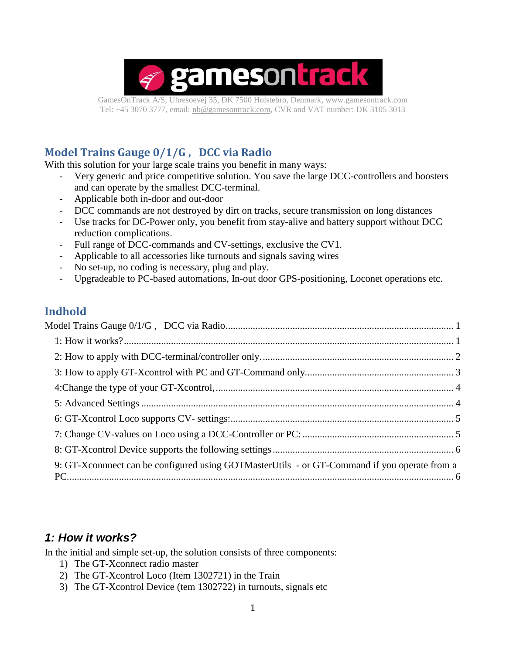

GamesOnTrack A/S, Uhresoevej 35, DK 7500 Holstebro, Denmark, [www.gamesontrack.com](http://www.gamesontrack.com/) Tel: +45 3070 3777, email: [nb@gamesontrack.com,](mailto:nb@gamesontrack.com) CVR and VAT number: DK 3105 3013

### <span id="page-0-0"></span>**Model Trains Gauge 0/1/G , DCC via Radio**

With this solution for your large scale trains you benefit in many ways:

- Very generic and price competitive solution. You save the large DCC-controllers and boosters and can operate by the smallest DCC-terminal.
- Applicable both in-door and out-door
- DCC commands are not destroyed by dirt on tracks, secure transmission on long distances
- Use tracks for DC-Power only, you benefit from stay-alive and battery support without DCC reduction complications.
- Full range of DCC-commands and CV-settings, exclusive the CV1.
- Applicable to all accessories like turnouts and signals saving wires
- No set-up, no coding is necessary, plug and play.
- Upgradeable to PC-based automations, In-out door GPS-positioning, Loconet operations etc.

#### **Indhold**

| 9: GT-X connect can be configured using GOTM aster Utils - or GT-Command if you operate from a |  |
|------------------------------------------------------------------------------------------------|--|

#### <span id="page-0-1"></span>*1: How it works?*

In the initial and simple set-up, the solution consists of three components:

- 1) The GT-Xconnect radio master
- 2) The GT-Xcontrol Loco (Item 1302721) in the Train
- 3) The GT-Xcontrol Device (tem 1302722) in turnouts, signals etc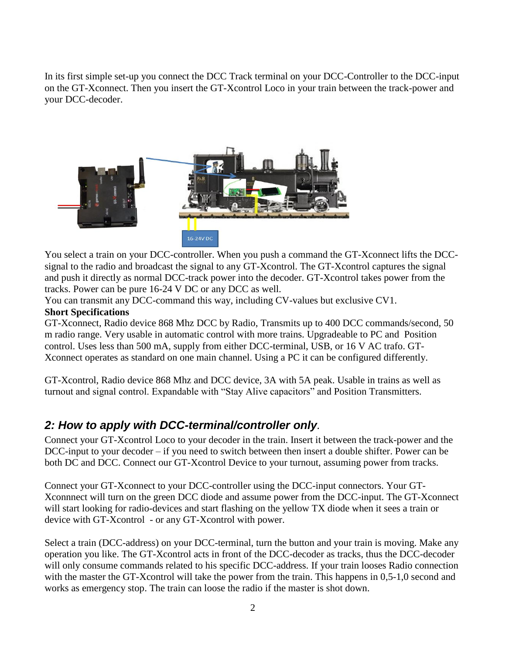In its first simple set-up you connect the DCC Track terminal on your DCC-Controller to the DCC-input on the GT-Xconnect. Then you insert the GT-Xcontrol Loco in your train between the track-power and your DCC-decoder.



You select a train on your DCC-controller. When you push a command the GT-Xconnect lifts the DCCsignal to the radio and broadcast the signal to any GT-Xcontrol. The GT-Xcontrol captures the signal and push it directly as normal DCC-track power into the decoder. GT-Xcontrol takes power from the tracks. Power can be pure 16-24 V DC or any DCC as well.

You can transmit any DCC-command this way, including CV-values but exclusive CV1.

#### **Short Specifications**

GT-Xconnect, Radio device 868 Mhz DCC by Radio, Transmits up to 400 DCC commands/second, 50 m radio range. Very usable in automatic control with more trains. Upgradeable to PC and Position control. Uses less than 500 mA, supply from either DCC-terminal, USB, or 16 V AC trafo. GT-Xconnect operates as standard on one main channel. Using a PC it can be configured differently.

GT-Xcontrol, Radio device 868 Mhz and DCC device, 3A with 5A peak. Usable in trains as well as turnout and signal control. Expandable with "Stay Alive capacitors" and Position Transmitters.

## <span id="page-1-0"></span>*2: How to apply with DCC-terminal/controller only.*

Connect your GT-Xcontrol Loco to your decoder in the train. Insert it between the track-power and the DCC-input to your decoder – if you need to switch between then insert a double shifter. Power can be both DC and DCC. Connect our GT-Xcontrol Device to your turnout, assuming power from tracks.

Connect your GT-Xconnect to your DCC-controller using the DCC-input connectors. Your GT-Xconnnect will turn on the green DCC diode and assume power from the DCC-input. The GT-Xconnect will start looking for radio-devices and start flashing on the yellow TX diode when it sees a train or device with GT-Xcontrol - or any GT-Xcontrol with power.

Select a train (DCC-address) on your DCC-terminal, turn the button and your train is moving. Make any operation you like. The GT-Xcontrol acts in front of the DCC-decoder as tracks, thus the DCC-decoder will only consume commands related to his specific DCC-address. If your train looses Radio connection with the master the GT-Xcontrol will take the power from the train. This happens in 0,5-1,0 second and works as emergency stop. The train can loose the radio if the master is shot down.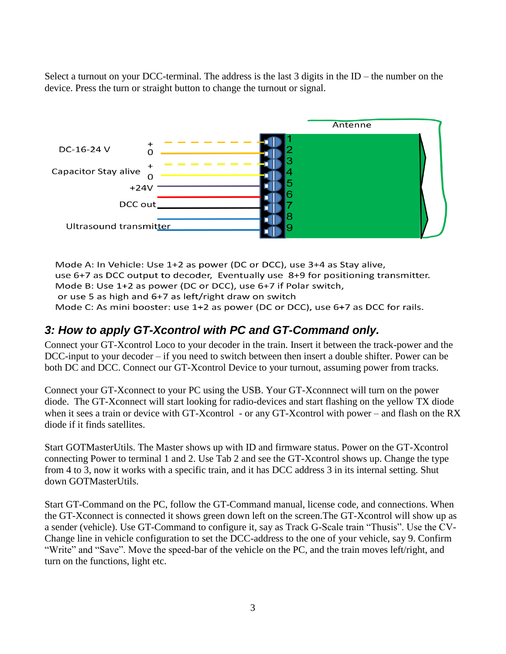Select a turnout on your DCC-terminal. The address is the last 3 digits in the ID – the number on the device. Press the turn or straight button to change the turnout or signal.



Mode A: In Vehicle: Use 1+2 as power (DC or DCC), use 3+4 as Stay alive, use 6+7 as DCC output to decoder, Eventually use 8+9 for positioning transmitter. Mode B: Use 1+2 as power (DC or DCC), use 6+7 if Polar switch, or use 5 as high and 6+7 as left/right draw on switch Mode C: As mini booster: use 1+2 as power (DC or DCC), use 6+7 as DCC for rails.

## <span id="page-2-0"></span>*3: How to apply GT-Xcontrol with PC and GT-Command only.*

Connect your GT-Xcontrol Loco to your decoder in the train. Insert it between the track-power and the DCC-input to your decoder – if you need to switch between then insert a double shifter. Power can be both DC and DCC. Connect our GT-Xcontrol Device to your turnout, assuming power from tracks.

Connect your GT-Xconnect to your PC using the USB. Your GT-Xconnnect will turn on the power diode. The GT-Xconnect will start looking for radio-devices and start flashing on the yellow TX diode when it sees a train or device with GT-Xcontrol - or any GT-Xcontrol with power – and flash on the RX diode if it finds satellites.

Start GOTMasterUtils. The Master shows up with ID and firmware status. Power on the GT-Xcontrol connecting Power to terminal 1 and 2. Use Tab 2 and see the GT-Xcontrol shows up. Change the type from 4 to 3, now it works with a specific train, and it has DCC address 3 in its internal setting. Shut down GOTMasterUtils.

Start GT-Command on the PC, follow the GT-Command manual, license code, and connections. When the GT-Xconnect is connected it shows green down left on the screen.The GT-Xcontrol will show up as a sender (vehicle). Use GT-Command to configure it, say as Track G-Scale train "Thusis". Use the CV-Change line in vehicle configuration to set the DCC-address to the one of your vehicle, say 9. Confirm "Write" and "Save". Move the speed-bar of the vehicle on the PC, and the train moves left/right, and turn on the functions, light etc.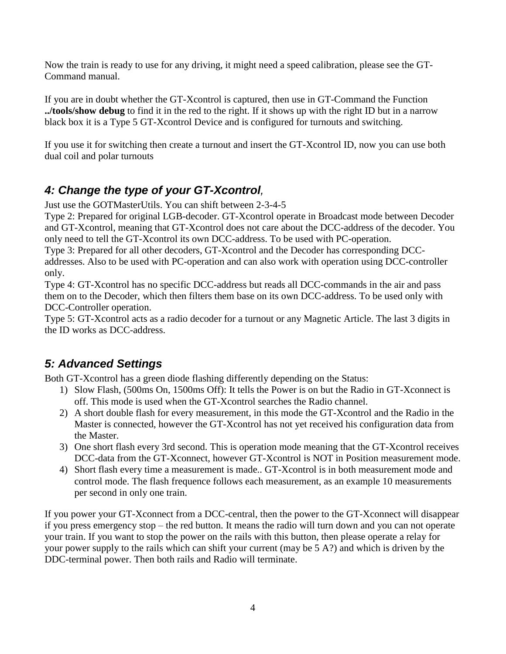Now the train is ready to use for any driving, it might need a speed calibration, please see the GT-Command manual.

If you are in doubt whether the GT-Xcontrol is captured, then use in GT-Command the Function **../tools/show debug** to find it in the red to the right. If it shows up with the right ID but in a narrow black box it is a Type 5 GT-Xcontrol Device and is configured for turnouts and switching.

If you use it for switching then create a turnout and insert the GT-Xcontrol ID, now you can use both dual coil and polar turnouts

# <span id="page-3-0"></span>*4: Change the type of your GT-Xcontrol,*

Just use the GOTMasterUtils. You can shift between 2-3-4-5

Type 2: Prepared for original LGB-decoder. GT-Xcontrol operate in Broadcast mode between Decoder and GT-Xcontrol, meaning that GT-Xcontrol does not care about the DCC-address of the decoder. You only need to tell the GT-Xcontrol its own DCC-address. To be used with PC-operation.

Type 3: Prepared for all other decoders, GT-Xcontrol and the Decoder has corresponding DCCaddresses. Also to be used with PC-operation and can also work with operation using DCC-controller only.

Type 4: GT-Xcontrol has no specific DCC-address but reads all DCC-commands in the air and pass them on to the Decoder, which then filters them base on its own DCC-address. To be used only with DCC-Controller operation.

Type 5: GT-Xcontrol acts as a radio decoder for a turnout or any Magnetic Article. The last 3 digits in the ID works as DCC-address.

## <span id="page-3-1"></span>*5: Advanced Settings*

Both GT-Xcontrol has a green diode flashing differently depending on the Status:

- 1) Slow Flash, (500ms On, 1500ms Off): It tells the Power is on but the Radio in GT-Xconnect is off. This mode is used when the GT-Xcontrol searches the Radio channel.
- 2) A short double flash for every measurement, in this mode the GT-Xcontrol and the Radio in the Master is connected, however the GT-Xcontrol has not yet received his configuration data from the Master.
- 3) One short flash every 3rd second. This is operation mode meaning that the GT-Xcontrol receives DCC-data from the GT-Xconnect, however GT-Xcontrol is NOT in Position measurement mode.
- 4) Short flash every time a measurement is made.. GT-Xcontrol is in both measurement mode and control mode. The flash frequence follows each measurement, as an example 10 measurements per second in only one train.

If you power your GT-Xconnect from a DCC-central, then the power to the GT-Xconnect will disappear if you press emergency stop – the red button. It means the radio will turn down and you can not operate your train. If you want to stop the power on the rails with this button, then please operate a relay for your power supply to the rails which can shift your current (may be 5 A?) and which is driven by the DDC-terminal power. Then both rails and Radio will terminate.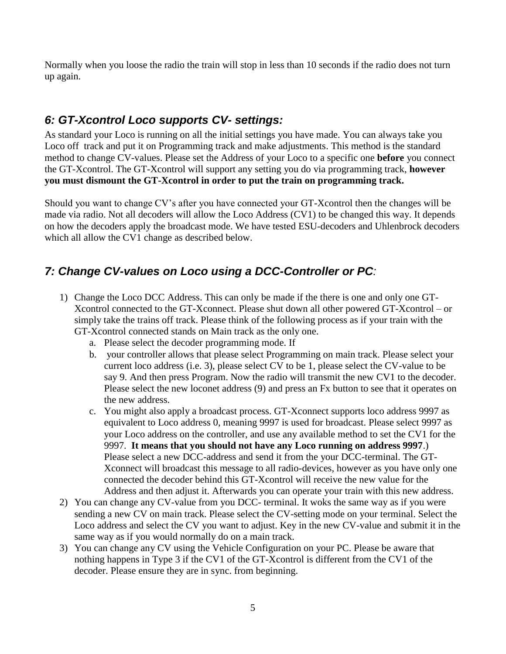Normally when you loose the radio the train will stop in less than 10 seconds if the radio does not turn up again.

## <span id="page-4-0"></span>*6: GT-Xcontrol Loco supports CV- settings:*

As standard your Loco is running on all the initial settings you have made. You can always take you Loco off track and put it on Programming track and make adjustments. This method is the standard method to change CV-values. Please set the Address of your Loco to a specific one **before** you connect the GT-Xcontrol. The GT-Xcontrol will support any setting you do via programming track, **however you must dismount the GT-Xcontrol in order to put the train on programming track.**

Should you want to change CV's after you have connected your GT-Xcontrol then the changes will be made via radio. Not all decoders will allow the Loco Address (CV1) to be changed this way. It depends on how the decoders apply the broadcast mode. We have tested ESU-decoders and Uhlenbrock decoders which all allow the CV1 change as described below.

## <span id="page-4-1"></span>*7: Change CV-values on Loco using a DCC-Controller or PC:*

- 1) Change the Loco DCC Address. This can only be made if the there is one and only one GT-Xcontrol connected to the GT-Xconnect. Please shut down all other powered GT-Xcontrol – or simply take the trains off track. Please think of the following process as if your train with the GT-Xcontrol connected stands on Main track as the only one.
	- a. Please select the decoder programming mode. If
	- b. your controller allows that please select Programming on main track. Please select your current loco address (i.e. 3), please select CV to be 1, please select the CV-value to be say 9. And then press Program. Now the radio will transmit the new CV1 to the decoder. Please select the new loconet address (9) and press an Fx button to see that it operates on the new address.
	- c. You might also apply a broadcast process. GT-Xconnect supports loco address 9997 as equivalent to Loco address 0, meaning 9997 is used for broadcast. Please select 9997 as your Loco address on the controller, and use any available method to set the CV1 for the 9997. **It means that you should not have any Loco running on address 9997**.) Please select a new DCC-address and send it from the your DCC-terminal. The GT-Xconnect will broadcast this message to all radio-devices, however as you have only one connected the decoder behind this GT-Xcontrol will receive the new value for the Address and then adjust it. Afterwards you can operate your train with this new address.
- 2) You can change any CV-value from you DCC- terminal. It woks the same way as if you were sending a new CV on main track. Please select the CV-setting mode on your terminal. Select the Loco address and select the CV you want to adjust. Key in the new CV-value and submit it in the same way as if you would normally do on a main track.
- 3) You can change any CV using the Vehicle Configuration on your PC. Please be aware that nothing happens in Type 3 if the CV1 of the GT-Xcontrol is different from the CV1 of the decoder. Please ensure they are in sync. from beginning.